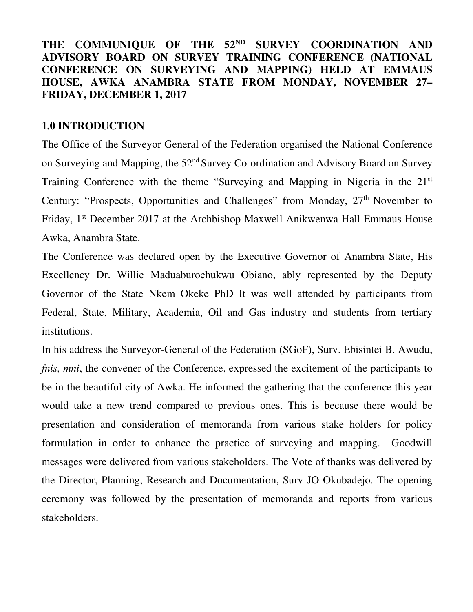## THE COMMUNIQUE OF THE 52<sup>ND</sup> SURVEY COORDINATION AND **ADVISORY BOARD ON SURVEY TRAINING CONFERENCE (NATIONAL CONFERENCE ON SURVEYING AND MAPPING) HELD AT EMMAUS HOUSE, AWKA ANAMBRA STATE FROM MONDAY, NOVEMBER 27– FRIDAY, DECEMBER 1, 2017**

#### **1.0 INTRODUCTION**

The Office of the Surveyor General of the Federation organised the National Conference on Surveying and Mapping, the 52nd Survey Co-ordination and Advisory Board on Survey Training Conference with the theme "Surveying and Mapping in Nigeria in the 21st Century: "Prospects, Opportunities and Challenges" from Monday, 27<sup>th</sup> November to Friday, 1st December 2017 at the Archbishop Maxwell Anikwenwa Hall Emmaus House Awka, Anambra State.

The Conference was declared open by the Executive Governor of Anambra State, His Excellency Dr. Willie Maduaburochukwu Obiano, ably represented by the Deputy Governor of the State Nkem Okeke PhD It was well attended by participants from Federal, State, Military, Academia, Oil and Gas industry and students from tertiary institutions.

In his address the Surveyor-General of the Federation (SGoF), Surv. Ebisintei B. Awudu, *fnis, mni,* the convener of the Conference, expressed the excitement of the participants to be in the beautiful city of Awka. He informed the gathering that the conference this year would take a new trend compared to previous ones. This is because there would be presentation and consideration of memoranda from various stake holders for policy formulation in order to enhance the practice of surveying and mapping. Goodwill messages were delivered from various stakeholders. The Vote of thanks was delivered by the Director, Planning, Research and Documentation, Surv JO Okubadejo. The opening ceremony was followed by the presentation of memoranda and reports from various stakeholders.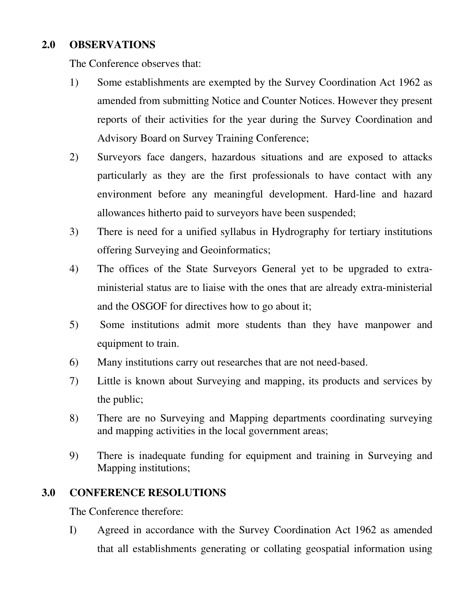## **2.0 OBSERVATIONS**

The Conference observes that:

- 1) Some establishments are exempted by the Survey Coordination Act 1962 as amended from submitting Notice and Counter Notices. However they present reports of their activities for the year during the Survey Coordination and Advisory Board on Survey Training Conference;
- 2) Surveyors face dangers, hazardous situations and are exposed to attacks particularly as they are the first professionals to have contact with any environment before any meaningful development. Hard-line and hazard allowances hitherto paid to surveyors have been suspended;
- 3) There is need for a unified syllabus in Hydrography for tertiary institutions offering Surveying and Geoinformatics;
- 4) The offices of the State Surveyors General yet to be upgraded to extraministerial status are to liaise with the ones that are already extra-ministerial and the OSGOF for directives how to go about it;
- 5) Some institutions admit more students than they have manpower and equipment to train.
- 6) Many institutions carry out researches that are not need-based.
- 7) Little is known about Surveying and mapping, its products and services by the public;
- 8) There are no Surveying and Mapping departments coordinating surveying and mapping activities in the local government areas;
- 9) There is inadequate funding for equipment and training in Surveying and Mapping institutions;

### **3.0 CONFERENCE RESOLUTIONS**

The Conference therefore:

I) Agreed in accordance with the Survey Coordination Act 1962 as amended that all establishments generating or collating geospatial information using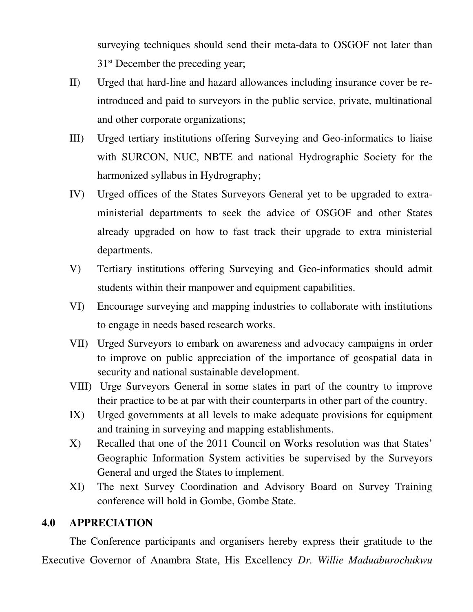surveying techniques should send their meta-data to OSGOF not later than 31<sup>st</sup> December the preceding year;

- II) Urged that hard-line and hazard allowances including insurance cover be reintroduced and paid to surveyors in the public service, private, multinational and other corporate organizations;
- III) Urged tertiary institutions offering Surveying and Geo-informatics to liaise with SURCON, NUC, NBTE and national Hydrographic Society for the harmonized syllabus in Hydrography;
- IV) Urged offices of the States Surveyors General yet to be upgraded to extraministerial departments to seek the advice of OSGOF and other States already upgraded on how to fast track their upgrade to extra ministerial departments.
- V) Tertiary institutions offering Surveying and Geo-informatics should admit students within their manpower and equipment capabilities.
- VI) Encourage surveying and mapping industries to collaborate with institutions to engage in needs based research works.
- VII) Urged Surveyors to embark on awareness and advocacy campaigns in order to improve on public appreciation of the importance of geospatial data in security and national sustainable development.
- VIII) Urge Surveyors General in some states in part of the country to improve their practice to be at par with their counterparts in other part of the country.
- IX) Urged governments at all levels to make adequate provisions for equipment and training in surveying and mapping establishments.
- X) Recalled that one of the 2011 Council on Works resolution was that States' Geographic Information System activities be supervised by the Surveyors General and urged the States to implement.
- XI) The next Survey Coordination and Advisory Board on Survey Training conference will hold in Gombe, Gombe State.

### **4.0 APPRECIATION**

The Conference participants and organisers hereby express their gratitude to the Executive Governor of Anambra State, His Excellency *Dr. Willie Maduaburochukwu*